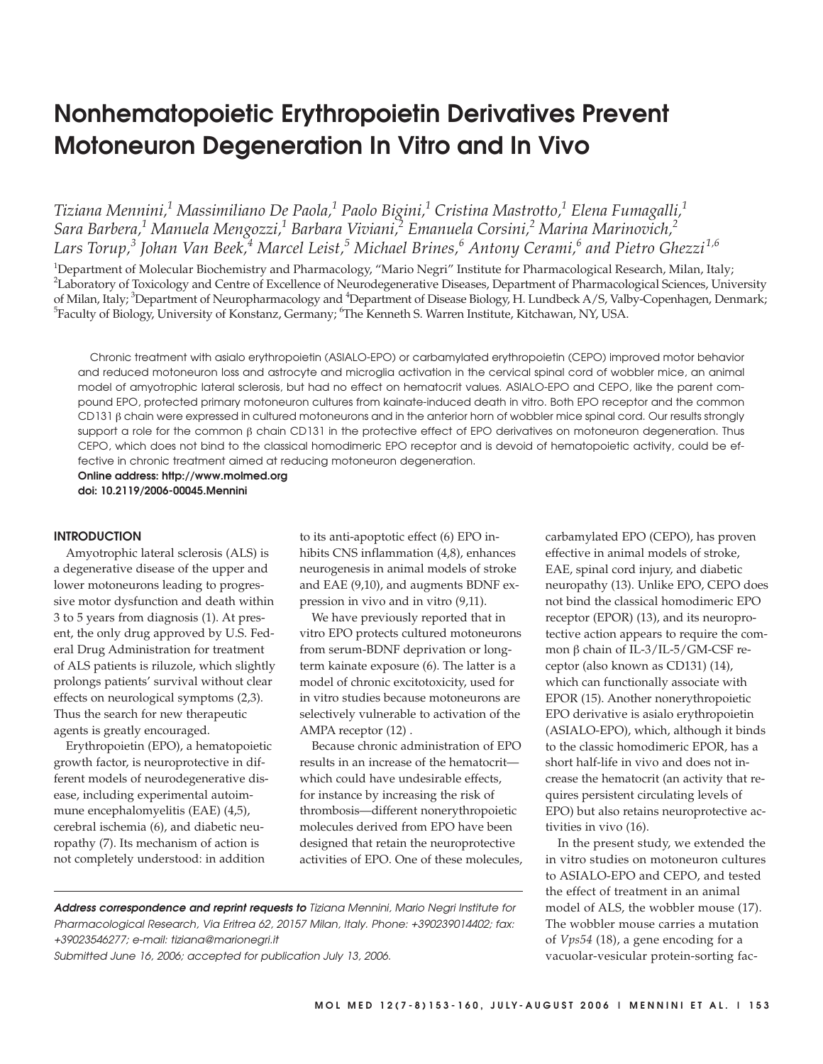# **Nonhematopoietic Erythropoietin Derivatives Prevent Motoneuron Degeneration In Vitro and In Vivo**

*Tiziana Mennini,1 Massimiliano De Paola,1 Paolo Bigini,1 Cristina Mastrotto,1 Elena Fumagalli,1 Sara Barbera,1 Manuela Mengozzi,1 Barbara Viviani,2 Emanuela Corsini,2 Marina Marinovich,2 Lars Torup,<sup>3</sup> Johan Van Beek,<sup>4</sup> Marcel Leist,<sup>5</sup> Michael Brines,<sup>6</sup> Antony Cerami,<sup>6</sup> and Pietro Ghezzi 1,6*

<sup>1</sup>Department of Molecular Biochemistry and Pharmacology, "Mario Negri" Institute for Pharmacological Research, Milan, Italy;  $^2$ Laboratory of Toxicology and Centre of Excellence of Neurodegenerative Diseases, Department of Pharmacological Sciences, University of Milan, Italy; <sup>3</sup>Department of Neuropharmacology and <sup>4</sup>Department of Disease Biology, H. Lundbeck A/S, Valby-Copenhagen, Denmark;  $^5$ Faculty of Biology, University of Konstanz, Germany;  $^6$ The Kenneth S. Warren Institute, Kitchawan, NY, USA.

Chronic treatment with asialo erythropoietin (ASIALO-EPO) or carbamylated erythropoietin (CEPO) improved motor behavior and reduced motoneuron loss and astrocyte and microglia activation in the cervical spinal cord of wobbler mice, an animal model of amyotrophic lateral sclerosis, but had no effect on hematocrit values. ASIALO-EPO and CEPO, like the parent compound EPO, protected primary motoneuron cultures from kainate-induced death in vitro. Both EPO receptor and the common CD131 β chain were expressed in cultured motoneurons and in the anterior horn of wobbler mice spinal cord. Our results strongly support a role for the common β chain CD131 in the protective effect of EPO derivatives on motoneuron degeneration. Thus CEPO, which does not bind to the classical homodimeric EPO receptor and is devoid of hematopoietic activity, could be effective in chronic treatment aimed at reducing motoneuron degeneration.

**Online address: http://www.molmed.org doi: 10.2119/2006-00045.Mennini**

## **INTRODUCTION**

Amyotrophic lateral sclerosis (ALS) is a degenerative disease of the upper and lower motoneurons leading to progressive motor dysfunction and death within 3 to 5 years from diagnosis (1). At present, the only drug approved by U.S. Federal Drug Administration for treatment of ALS patients is riluzole, which slightly prolongs patients' survival without clear effects on neurological symptoms (2,3). Thus the search for new therapeutic agents is greatly encouraged.

Erythropoietin (EPO), a hematopoietic growth factor, is neuroprotective in different models of neurodegenerative disease, including experimental autoimmune encephalomyelitis (EAE) (4,5), cerebral ischemia (6), and diabetic neuropathy (7). Its mechanism of action is not completely understood: in addition

to its anti-apoptotic effect (6) EPO inhibits CNS inflammation (4,8), enhances neurogenesis in animal models of stroke and EAE (9,10), and augments BDNF expression in vivo and in vitro (9,11).

We have previously reported that in vitro EPO protects cultured motoneurons from serum-BDNF deprivation or longterm kainate exposure (6). The latter is a model of chronic excitotoxicity, used for in vitro studies because motoneurons are selectively vulnerable to activation of the AMPA receptor (12) .

Because chronic administration of EPO results in an increase of the hematocrit which could have undesirable effects, for instance by increasing the risk of thrombosis—different nonerythropoietic molecules derived from EPO have been designed that retain the neuroprotective activities of EPO. One of these molecules, carbamylated EPO (CEPO), has proven effective in animal models of stroke, EAE, spinal cord injury, and diabetic neuropathy (13). Unlike EPO, CEPO does not bind the classical homodimeric EPO receptor (EPOR) (13), and its neuroprotective action appears to require the common β chain of IL-3/IL-5/GM-CSF receptor (also known as CD131) (14), which can functionally associate with EPOR (15). Another nonerythropoietic EPO derivative is asialo erythropoietin (ASIALO-EPO), which, although it binds to the classic homodimeric EPOR, has a short half-life in vivo and does not increase the hematocrit (an activity that requires persistent circulating levels of EPO) but also retains neuroprotective activities in vivo (16).

In the present study, we extended the in vitro studies on motoneuron cultures to ASIALO-EPO and CEPO, and tested the effect of treatment in an animal model of ALS, the wobbler mouse (17). The wobbler mouse carries a mutation of *Vps54* (18), a gene encoding for a vacuolar-vesicular protein-sorting fac-

**Address correspondence and reprint requests to** Tiziana Mennini, Mario Negri Institute for Pharmacological Research, Via Eritrea 62, 20157 Milan, Italy. Phone: +390239014402; fax: +39023546277; e-mail: tiziana@marionegri.it

Submitted June 16, 2006; accepted for publication July 13, 2006.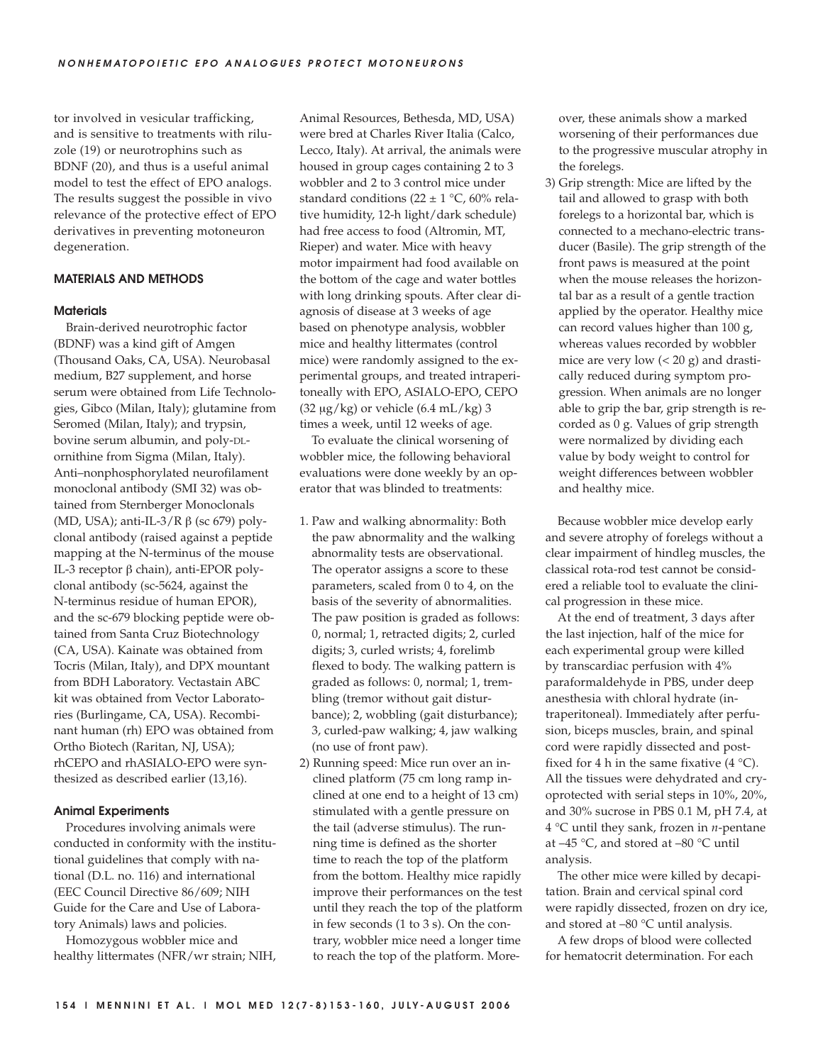tor involved in vesicular trafficking, and is sensitive to treatments with riluzole (19) or neurotrophins such as BDNF (20), and thus is a useful animal model to test the effect of EPO analogs. The results suggest the possible in vivo relevance of the protective effect of EPO derivatives in preventing motoneuron degeneration.

# **MATERIALS AND METHODS**

## **Materials**

Brain-derived neurotrophic factor (BDNF) was a kind gift of Amgen (Thousand Oaks, CA, USA). Neurobasal medium, B27 supplement, and horse serum were obtained from Life Technologies, Gibco (Milan, Italy); glutamine from Seromed (Milan, Italy); and trypsin, bovine serum albumin, and poly-DLornithine from Sigma (Milan, Italy). Anti–nonphosphorylated neurofilament monoclonal antibody (SMI 32) was obtained from Sternberger Monoclonals (MD, USA); anti-IL-3/R  $\beta$  (sc 679) polyclonal antibody (raised against a peptide mapping at the N-terminus of the mouse IL-3 receptor β chain), anti-EPOR polyclonal antibody (sc-5624, against the N-terminus residue of human EPOR), and the sc-679 blocking peptide were obtained from Santa Cruz Biotechnology (CA, USA). Kainate was obtained from Tocris (Milan, Italy), and DPX mountant from BDH Laboratory. Vectastain ABC kit was obtained from Vector Laboratories (Burlingame, CA, USA). Recombinant human (rh) EPO was obtained from Ortho Biotech (Raritan, NJ, USA); rhCEPO and rhASIALO-EPO were synthesized as described earlier (13,16).

# **Animal Experiments**

Procedures involving animals were conducted in conformity with the institutional guidelines that comply with national (D.L. no. 116) and international (EEC Council Directive 86/609; NIH Guide for the Care and Use of Laboratory Animals) laws and policies.

Homozygous wobbler mice and healthy littermates (NFR/wr strain; NIH, Animal Resources, Bethesda, MD, USA) were bred at Charles River Italia (Calco, Lecco, Italy). At arrival, the animals were housed in group cages containing 2 to 3 wobbler and 2 to 3 control mice under standard conditions (22  $\pm$  1 °C, 60% relative humidity, 12-h light/dark schedule) had free access to food (Altromin, MT, Rieper) and water. Mice with heavy motor impairment had food available on the bottom of the cage and water bottles with long drinking spouts. After clear diagnosis of disease at 3 weeks of age based on phenotype analysis, wobbler mice and healthy littermates (control mice) were randomly assigned to the experimental groups, and treated intraperitoneally with EPO, ASIALO-EPO, CEPO (32  $\mu$ g/kg) or vehicle (6.4 mL/kg) 3 times a week, until 12 weeks of age.

To evaluate the clinical worsening of wobbler mice, the following behavioral evaluations were done weekly by an operator that was blinded to treatments:

- 1. Paw and walking abnormality: Both the paw abnormality and the walking abnormality tests are observational. The operator assigns a score to these parameters, scaled from 0 to 4, on the basis of the severity of abnormalities. The paw position is graded as follows: 0, normal; 1, retracted digits; 2, curled digits; 3, curled wrists; 4, forelimb flexed to body. The walking pattern is graded as follows: 0, normal; 1, trembling (tremor without gait disturbance); 2, wobbling (gait disturbance); 3, curled-paw walking; 4, jaw walking (no use of front paw).
- 2) Running speed: Mice run over an inclined platform (75 cm long ramp inclined at one end to a height of 13 cm) stimulated with a gentle pressure on the tail (adverse stimulus). The running time is defined as the shorter time to reach the top of the platform from the bottom. Healthy mice rapidly improve their performances on the test until they reach the top of the platform in few seconds (1 to 3 s). On the contrary, wobbler mice need a longer time to reach the top of the platform. More-

over, these animals show a marked worsening of their performances due to the progressive muscular atrophy in the forelegs.

3) Grip strength: Mice are lifted by the tail and allowed to grasp with both forelegs to a horizontal bar, which is connected to a mechano-electric transducer (Basile). The grip strength of the front paws is measured at the point when the mouse releases the horizontal bar as a result of a gentle traction applied by the operator. Healthy mice can record values higher than 100 g, whereas values recorded by wobbler mice are very low (< 20 g) and drastically reduced during symptom progression. When animals are no longer able to grip the bar, grip strength is recorded as 0 g. Values of grip strength were normalized by dividing each value by body weight to control for weight differences between wobbler and healthy mice.

Because wobbler mice develop early and severe atrophy of forelegs without a clear impairment of hindleg muscles, the classical rota-rod test cannot be considered a reliable tool to evaluate the clinical progression in these mice.

At the end of treatment, 3 days after the last injection, half of the mice for each experimental group were killed by transcardiac perfusion with 4% paraformaldehyde in PBS, under deep anesthesia with chloral hydrate (intraperitoneal). Immediately after perfusion, biceps muscles, brain, and spinal cord were rapidly dissected and postfixed for 4 h in the same fixative  $(4 \degree C)$ . All the tissues were dehydrated and cryoprotected with serial steps in 10%, 20%, and 30% sucrose in PBS 0.1 M, pH 7.4, at 4 °C until they sank, frozen in *n*-pentane at –45 °C, and stored at –80 °C until analysis.

The other mice were killed by decapitation. Brain and cervical spinal cord were rapidly dissected, frozen on dry ice, and stored at –80 °C until analysis.

A few drops of blood were collected for hematocrit determination. For each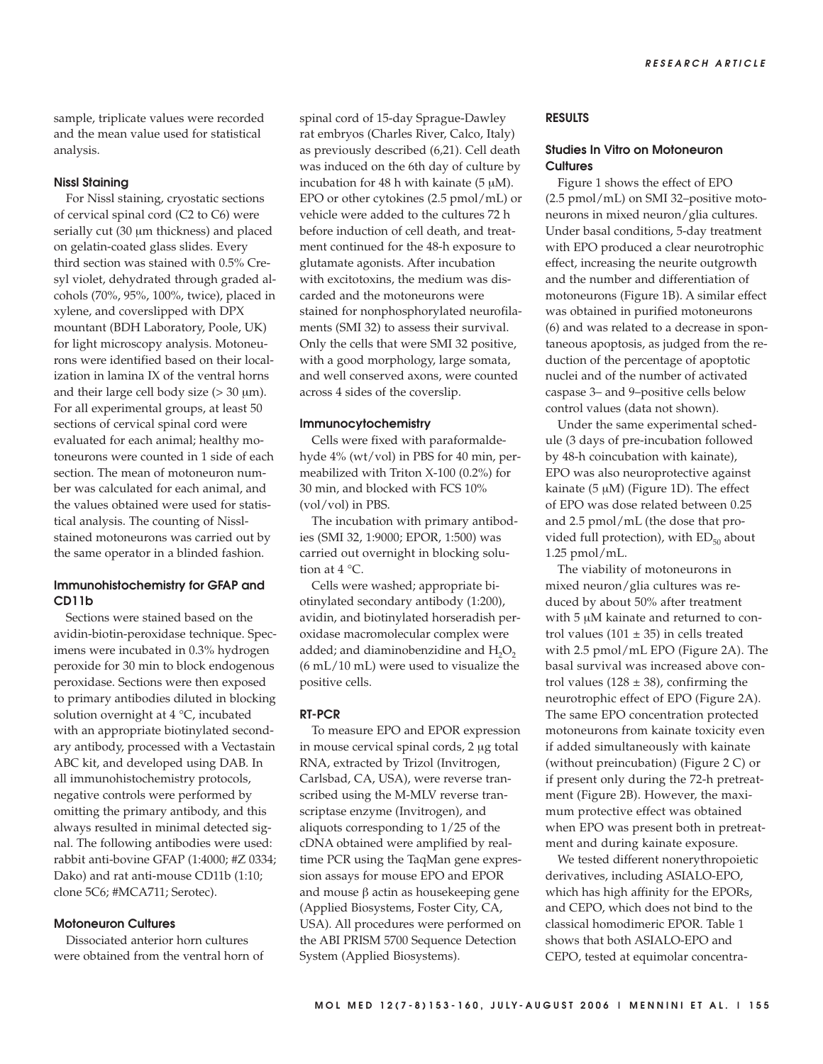sample, triplicate values were recorded and the mean value used for statistical analysis.

## **Nissl Staining**

For Nissl staining, cryostatic sections of cervical spinal cord (C2 to C6) were serially cut (30 μm thickness) and placed on gelatin-coated glass slides. Every third section was stained with 0.5% Cresyl violet, dehydrated through graded alcohols (70%, 95%, 100%, twice), placed in xylene, and coverslipped with DPX mountant (BDH Laboratory, Poole, UK) for light microscopy analysis. Motoneurons were identified based on their localization in lamina IX of the ventral horns and their large cell body size  $(> 30 \mu m)$ . For all experimental groups, at least 50 sections of cervical spinal cord were evaluated for each animal; healthy motoneurons were counted in 1 side of each section. The mean of motoneuron number was calculated for each animal, and the values obtained were used for statistical analysis. The counting of Nisslstained motoneurons was carried out by the same operator in a blinded fashion.

# **Immunohistochemistry for GFAP and CD11b**

Sections were stained based on the avidin-biotin-peroxidase technique. Specimens were incubated in 0.3% hydrogen peroxide for 30 min to block endogenous peroxidase. Sections were then exposed to primary antibodies diluted in blocking solution overnight at 4 °C, incubated with an appropriate biotinylated secondary antibody, processed with a Vectastain ABC kit, and developed using DAB. In all immunohistochemistry protocols, negative controls were performed by omitting the primary antibody, and this always resulted in minimal detected signal. The following antibodies were used: rabbit anti-bovine GFAP (1:4000; #Z 0334; Dako) and rat anti-mouse CD11b (1:10; clone 5C6; #MCA711; Serotec).

# **Motoneuron Cultures**

Dissociated anterior horn cultures were obtained from the ventral horn of spinal cord of 15-day Sprague-Dawley rat embryos (Charles River, Calco, Italy) as previously described (6,21). Cell death was induced on the 6th day of culture by incubation for 48 h with kainate  $(5 \mu M)$ . EPO or other cytokines (2.5 pmol/mL) or vehicle were added to the cultures 72 h before induction of cell death, and treatment continued for the 48-h exposure to glutamate agonists. After incubation with excitotoxins, the medium was discarded and the motoneurons were stained for nonphosphorylated neurofilaments (SMI 32) to assess their survival. Only the cells that were SMI 32 positive, with a good morphology, large somata, and well conserved axons, were counted across 4 sides of the coverslip.

#### **Immunocytochemistry**

Cells were fixed with paraformaldehyde 4% (wt/vol) in PBS for 40 min, permeabilized with Triton X-100 (0.2%) for 30 min, and blocked with FCS 10% (vol/vol) in PBS.

The incubation with primary antibodies (SMI 32, 1:9000; EPOR, 1:500) was carried out overnight in blocking solution at 4 °C.

Cells were washed; appropriate biotinylated secondary antibody (1:200), avidin, and biotinylated horseradish peroxidase macromolecular complex were added; and diaminobenzidine and  $H_2O_2$ (6 mL/10 mL) were used to visualize the positive cells.

## **RT-PCR**

To measure EPO and EPOR expression in mouse cervical spinal cords, 2 μg total RNA, extracted by Trizol (Invitrogen, Carlsbad, CA, USA), were reverse transcribed using the M-MLV reverse transcriptase enzyme (Invitrogen), and aliquots corresponding to 1/25 of the cDNA obtained were amplified by realtime PCR using the TaqMan gene expression assays for mouse EPO and EPOR and mouse β actin as housekeeping gene (Applied Biosystems, Foster City, CA, USA). All procedures were performed on the ABI PRISM 5700 Sequence Detection System (Applied Biosystems).

# **RESULTS**

# **Studies In Vitro on Motoneuron Cultures**

Figure 1 shows the effect of EPO (2.5 pmol/mL) on SMI 32–positive motoneurons in mixed neuron/glia cultures. Under basal conditions, 5-day treatment with EPO produced a clear neurotrophic effect, increasing the neurite outgrowth and the number and differentiation of motoneurons (Figure 1B). A similar effect was obtained in purified motoneurons (6) and was related to a decrease in spontaneous apoptosis, as judged from the reduction of the percentage of apoptotic nuclei and of the number of activated caspase 3– and 9–positive cells below control values (data not shown).

Under the same experimental schedule (3 days of pre-incubation followed by 48-h coincubation with kainate), EPO was also neuroprotective against kainate ( $5 \mu M$ ) (Figure 1D). The effect of EPO was dose related between 0.25 and 2.5 pmol/mL (the dose that provided full protection), with  $ED_{50}$  about 1.25 pmol/mL.

The viability of motoneurons in mixed neuron/glia cultures was reduced by about 50% after treatment with 5  $\mu$ M kainate and returned to control values (101  $\pm$  35) in cells treated with 2.5 pmol/mL EPO (Figure 2A). The basal survival was increased above control values (128  $\pm$  38), confirming the neurotrophic effect of EPO (Figure 2A). The same EPO concentration protected motoneurons from kainate toxicity even if added simultaneously with kainate (without preincubation) (Figure 2 C) or if present only during the 72-h pretreatment (Figure 2B). However, the maximum protective effect was obtained when EPO was present both in pretreatment and during kainate exposure.

We tested different nonerythropoietic derivatives, including ASIALO-EPO, which has high affinity for the EPORs, and CEPO, which does not bind to the classical homodimeric EPOR. Table 1 shows that both ASIALO-EPO and CEPO, tested at equimolar concentra-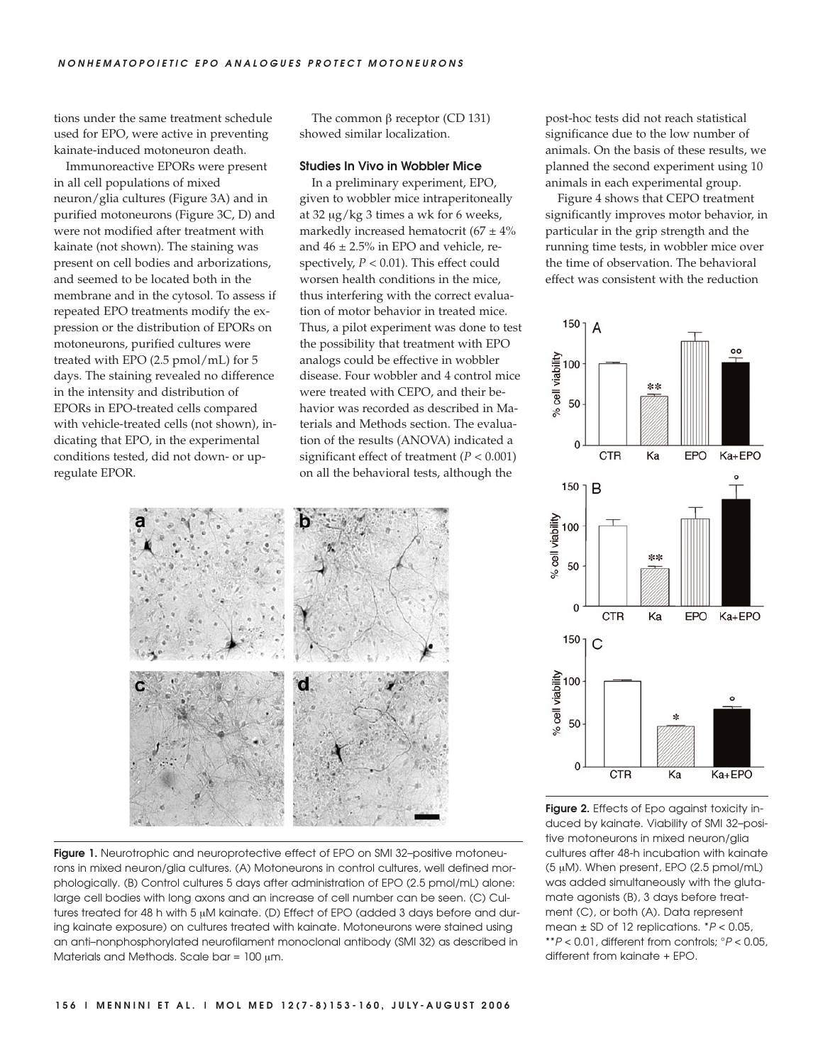tions under the same treatment schedule used for EPO, were active in preventing kainate-induced motoneuron death.

Immunoreactive EPORs were present in all cell populations of mixed neuron/glia cultures (Figure 3A) and in purified motoneurons (Figure 3C, D) and were not modified after treatment with kainate (not shown). The staining was present on cell bodies and arborizations, and seemed to be located both in the membrane and in the cytosol. To assess if repeated EPO treatments modify the expression or the distribution of EPORs on motoneurons, purified cultures were treated with EPO (2.5 pmol/mL) for 5 days. The staining revealed no difference in the intensity and distribution of EPORs in EPO-treated cells compared with vehicle-treated cells (not shown), indicating that EPO, in the experimental conditions tested, did not down- or upregulate EPOR.

The common β receptor (CD 131) showed similar localization.

## **Studies In Vivo in Wobbler Mice**

In a preliminary experiment, EPO, given to wobbler mice intraperitoneally at 32 μg/kg 3 times a wk for 6 weeks, markedly increased hematocrit (67  $\pm$  4% and  $46 \pm 2.5\%$  in EPO and vehicle, respectively,  $P < 0.01$ ). This effect could worsen health conditions in the mice, thus interfering with the correct evaluation of motor behavior in treated mice. Thus, a pilot experiment was done to test the possibility that treatment with EPO analogs could be effective in wobbler disease. Four wobbler and 4 control mice were treated with CEPO, and their behavior was recorded as described in Materials and Methods section. The evaluation of the results (ANOVA) indicated a significant effect of treatment (*P* < 0.001) on all the behavioral tests, although the





post-hoc tests did not reach statistical significance due to the low number of animals. On the basis of these results, we planned the second experiment using 10 animals in each experimental group.

Figure 4 shows that CEPO treatment significantly improves motor behavior, in particular in the grip strength and the running time tests, in wobbler mice over the time of observation. The behavioral effect was consistent with the reduction



**Figure 2.** Effects of Epo against toxicity induced by kainate. Viability of SMI 32–positive motoneurons in mixed neuron/glia cultures after 48-h incubation with kainate (5 μM). When present, EPO (2.5 pmol/mL) was added simultaneously with the glutamate agonists (B), 3 days before treatment (C), or both (A). Data represent mean  $\pm$  SD of 12 replications.  $*P < 0.05$ , \*\* $P < 0.01$ , different from controls;  $P < 0.05$ , different from kainate + EPO.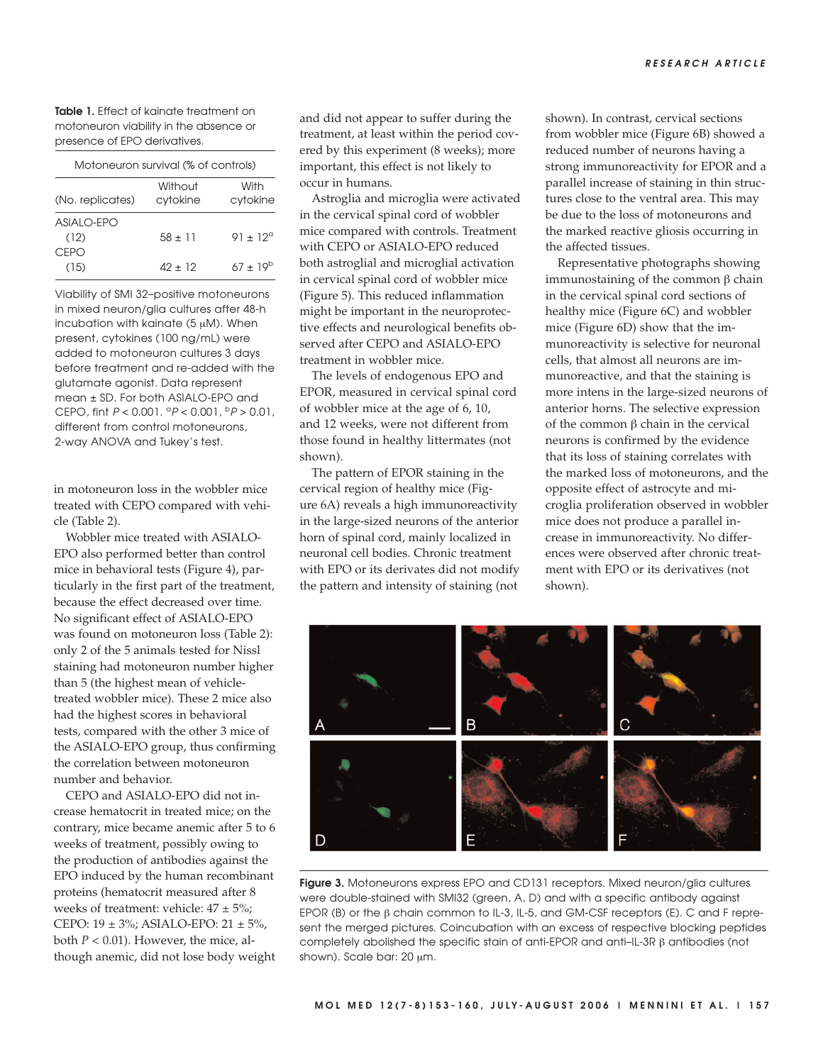**Table 1.** Effect of kainate treatment on motoneuron viability in the absence or presence of EPO derivatives.

| Motoneuron survival (% of controls) |                     |                  |  |
|-------------------------------------|---------------------|------------------|--|
| (No. replicates)                    | Without<br>cytokine | With<br>cytokine |  |
| ASIAI O-FPO<br>(12)<br><b>CEPO</b>  | $58 + 11$           | $91 + 12^{d}$    |  |
| (15)                                | 42 + 12             | $67 + 19^{b}$    |  |

Viability of SMI 32–positive motoneurons in mixed neuron/glia cultures after 48-h incubation with kainate  $(5 \mu M)$ . When present, cytokines (100 ng/mL) were added to motoneuron cultures 3 days before treatment and re-added with the glutamate agonist. Data represent mean ± SD. For both ASIALO-EPO and CEPO, fint  $P < 0.001$ .  ${}^{\circ}P < 0.001$ ,  ${}^{\circ}P > 0.01$ , different from control motoneurons, 2-way ANOVA and Tukey's test.

in motoneuron loss in the wobbler mice treated with CEPO compared with vehicle (Table 2).

Wobbler mice treated with ASIALO-EPO also performed better than control mice in behavioral tests (Figure 4), particularly in the first part of the treatment, because the effect decreased over time. No significant effect of ASIALO-EPO was found on motoneuron loss (Table 2): only 2 of the 5 animals tested for Nissl staining had motoneuron number higher than 5 (the highest mean of vehicletreated wobbler mice). These 2 mice also had the highest scores in behavioral tests, compared with the other 3 mice of the ASIALO-EPO group, thus confirming the correlation between motoneuron number and behavior.

CEPO and ASIALO-EPO did not increase hematocrit in treated mice; on the contrary, mice became anemic after 5 to 6 weeks of treatment, possibly owing to the production of antibodies against the EPO induced by the human recombinant proteins (hematocrit measured after 8 weeks of treatment: vehicle:  $47 \pm 5\%$ ; CEPO: 19 ± 3%; ASIALO-EPO: 21 ± 5%, both  $P < 0.01$ ). However, the mice, although anemic, did not lose body weight and did not appear to suffer during the treatment, at least within the period covered by this experiment (8 weeks); more important, this effect is not likely to occur in humans.

Astroglia and microglia were activated in the cervical spinal cord of wobbler mice compared with controls. Treatment with CEPO or ASIALO-EPO reduced both astroglial and microglial activation in cervical spinal cord of wobbler mice (Figure 5). This reduced inflammation might be important in the neuroprotective effects and neurological benefits observed after CEPO and ASIALO-EPO treatment in wobbler mice.

The levels of endogenous EPO and EPOR, measured in cervical spinal cord of wobbler mice at the age of 6, 10, and 12 weeks, were not different from those found in healthy littermates (not shown).

The pattern of EPOR staining in the cervical region of healthy mice (Figure 6A) reveals a high immunoreactivity in the large-sized neurons of the anterior horn of spinal cord, mainly localized in neuronal cell bodies. Chronic treatment with EPO or its derivates did not modify the pattern and intensity of staining (not

shown). In contrast, cervical sections from wobbler mice (Figure 6B) showed a reduced number of neurons having a strong immunoreactivity for EPOR and a parallel increase of staining in thin structures close to the ventral area. This may be due to the loss of motoneurons and the marked reactive gliosis occurring in the affected tissues.

Representative photographs showing immunostaining of the common β chain in the cervical spinal cord sections of healthy mice (Figure 6C) and wobbler mice (Figure 6D) show that the immunoreactivity is selective for neuronal cells, that almost all neurons are immunoreactive, and that the staining is more intens in the large-sized neurons of anterior horns. The selective expression of the common β chain in the cervical neurons is confirmed by the evidence that its loss of staining correlates with the marked loss of motoneurons, and the opposite effect of astrocyte and microglia proliferation observed in wobbler mice does not produce a parallel increase in immunoreactivity. No differences were observed after chronic treatment with EPO or its derivatives (not shown).



**Figure 3.** Motoneurons express EPO and CD131 receptors. Mixed neuron/glia cultures were double-stained with SMI32 (green, A, D) and with a specific antibody against EPOR (B) or the β chain common to IL-3, IL-5, and GM-CSF receptors (E). C and F represent the merged pictures. Coincubation with an excess of respective blocking peptides completely abolished the specific stain of anti-EPOR and anti–IL-3R β antibodies (not shown). Scale bar: 20 μm.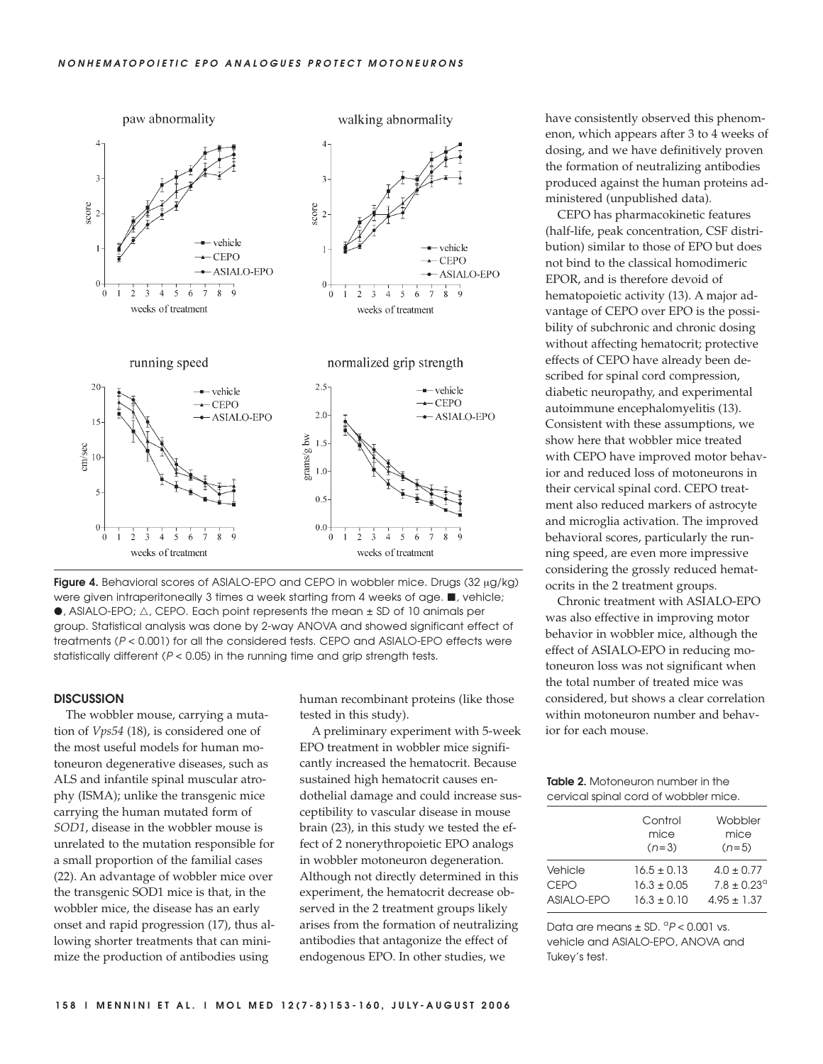

**Figure 4.** Behavioral scores of ASIALO-EPO and CEPO in wobbler mice. Drugs (32 μg/kg) were given intraperitoneally 3 times a week starting from 4 weeks of age.  $\blacksquare$ , vehicle;  $\bullet$ , ASIALO-EPO;  $\triangle$ , CEPO. Each point represents the mean  $\pm$  SD of 10 animals per group. Statistical analysis was done by 2-way ANOVA and showed significant effect of treatments (P < 0.001) for all the considered tests. CEPO and ASIALO-EPO effects were statistically different ( $P < 0.05$ ) in the running time and grip strength tests.

## **DISCUSSION**

The wobbler mouse, carrying a mutation of *Vps54* (18), is considered one of the most useful models for human motoneuron degenerative diseases, such as ALS and infantile spinal muscular atrophy (ISMA); unlike the transgenic mice carrying the human mutated form of *SOD1*, disease in the wobbler mouse is unrelated to the mutation responsible for a small proportion of the familial cases (22). An advantage of wobbler mice over the transgenic SOD1 mice is that, in the wobbler mice, the disease has an early onset and rapid progression (17), thus allowing shorter treatments that can minimize the production of antibodies using

human recombinant proteins (like those tested in this study).

A preliminary experiment with 5-week EPO treatment in wobbler mice significantly increased the hematocrit. Because sustained high hematocrit causes endothelial damage and could increase susceptibility to vascular disease in mouse brain (23), in this study we tested the effect of 2 nonerythropoietic EPO analogs in wobbler motoneuron degeneration. Although not directly determined in this experiment, the hematocrit decrease observed in the 2 treatment groups likely arises from the formation of neutralizing antibodies that antagonize the effect of endogenous EPO. In other studies, we

have consistently observed this phenomenon, which appears after 3 to 4 weeks of dosing, and we have definitively proven the formation of neutralizing antibodies produced against the human proteins administered (unpublished data).

CEPO has pharmacokinetic features (half-life, peak concentration, CSF distribution) similar to those of EPO but does not bind to the classical homodimeric EPOR, and is therefore devoid of hematopoietic activity (13). A major advantage of CEPO over EPO is the possibility of subchronic and chronic dosing without affecting hematocrit; protective effects of CEPO have already been described for spinal cord compression, diabetic neuropathy, and experimental autoimmune encephalomyelitis (13). Consistent with these assumptions, we show here that wobbler mice treated with CEPO have improved motor behavior and reduced loss of motoneurons in their cervical spinal cord. CEPO treatment also reduced markers of astrocyte and microglia activation. The improved behavioral scores, particularly the running speed, are even more impressive considering the grossly reduced hematocrits in the 2 treatment groups.

Chronic treatment with ASIALO-EPO was also effective in improving motor behavior in wobbler mice, although the effect of ASIALO-EPO in reducing motoneuron loss was not significant when the total number of treated mice was considered, but shows a clear correlation within motoneuron number and behavior for each mouse.

**Table 2.** Motoneuron number in the cervical spinal cord of wobbler mice.

|             | Control<br>mice<br>$(n=3)$ | Wobbler<br>mice<br>$(n=5)$ |
|-------------|----------------------------|----------------------------|
| Vehicle     | $16.5 \pm 0.13$            | $4.0 \pm 0.77$             |
| <b>CEPO</b> | $16.3 + 0.05$              | $7.8 \pm 0.23^{\circ}$     |
| ASIALO-EPO  | $16.3 + 0.10$              | $4.95 \pm 1.37$            |

Data are means  $\pm$  SD.  ${}^{\alpha}P$  < 0.001 vs. vehicle and ASIALO-EPO, ANOVA and Tukey's test.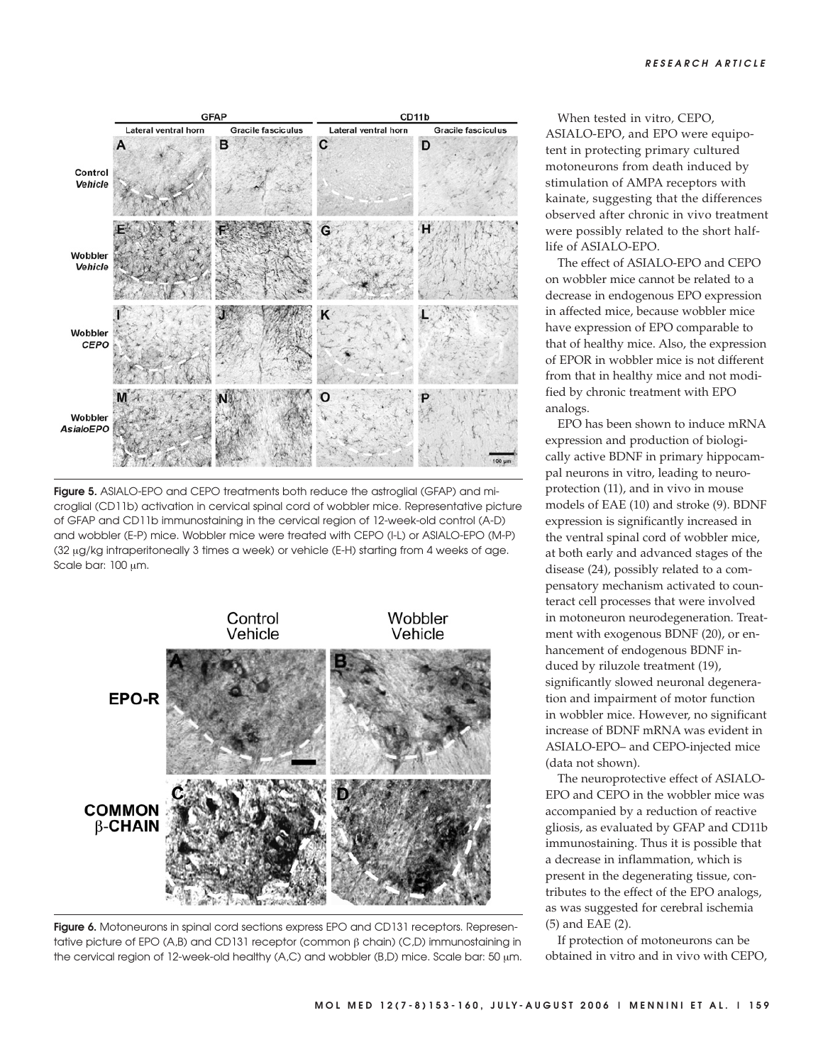

**Figure 5.** ASIALO-EPO and CEPO treatments both reduce the astroglial (GFAP) and microglial (CD11b) activation in cervical spinal cord of wobbler mice. Representative picture of GFAP and CD11b immunostaining in the cervical region of 12-week-old control (A-D) and wobbler (E-P) mice. Wobbler mice were treated with CEPO (I-L) or ASIALO-EPO (M-P) (32 μg/kg intraperitoneally 3 times a week) or vehicle (E-H) starting from 4 weeks of age. Scale bar: 100 μm.



**Figure 6.** Motoneurons in spinal cord sections express EPO and CD131 receptors. Representative picture of EPO (A,B) and CD131 receptor (common β chain) (C,D) immunostaining in the cervical region of 12-week-old healthy (A,C) and wobbler (B,D) mice. Scale bar: 50  $\mu$ m.

When tested in vitro*,* CEPO, ASIALO-EPO, and EPO were equipotent in protecting primary cultured motoneurons from death induced by stimulation of AMPA receptors with kainate, suggesting that the differences observed after chronic in vivo treatment were possibly related to the short halflife of ASIALO-EPO.

The effect of ASIALO-EPO and CEPO on wobbler mice cannot be related to a decrease in endogenous EPO expression in affected mice, because wobbler mice have expression of EPO comparable to that of healthy mice. Also, the expression of EPOR in wobbler mice is not different from that in healthy mice and not modified by chronic treatment with EPO analogs.

EPO has been shown to induce mRNA expression and production of biologically active BDNF in primary hippocampal neurons in vitro, leading to neuroprotection (11), and in vivo in mouse models of EAE (10) and stroke (9). BDNF expression is significantly increased in the ventral spinal cord of wobbler mice, at both early and advanced stages of the disease (24), possibly related to a compensatory mechanism activated to counteract cell processes that were involved in motoneuron neurodegeneration. Treatment with exogenous BDNF (20), or enhancement of endogenous BDNF induced by riluzole treatment (19), significantly slowed neuronal degeneration and impairment of motor function in wobbler mice. However, no significant increase of BDNF mRNA was evident in ASIALO-EPO– and CEPO-injected mice (data not shown).

The neuroprotective effect of ASIALO-EPO and CEPO in the wobbler mice was accompanied by a reduction of reactive gliosis, as evaluated by GFAP and CD11b immunostaining. Thus it is possible that a decrease in inflammation, which is present in the degenerating tissue, contributes to the effect of the EPO analogs, as was suggested for cerebral ischemia (5) and EAE (2).

If protection of motoneurons can be obtained in vitro and in vivo with CEPO,